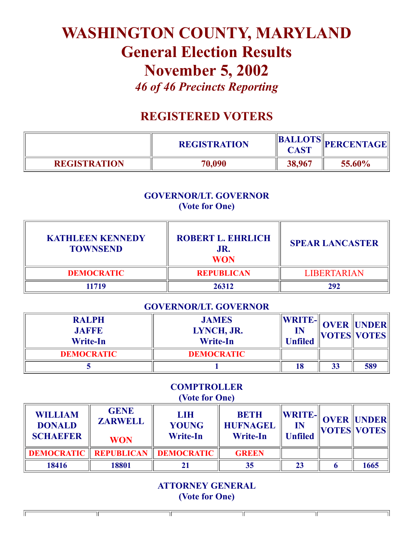# WASHINGTON COUNTY, MARYLAND General Election Results November 5, 2002 *46 of 46 Precincts Reporting*

# REGISTERED VOTERS

|                     | <b>REGISTRATION</b> | <b>CAST</b> | <b>BALLOTS</b> PERCENTAGE |
|---------------------|---------------------|-------------|---------------------------|
| <b>REGISTRATION</b> | 70,090              | 38,967      | 55.60%                    |

#### GOVERNOR/LT. GOVERNOR (Vote for One)

| <b>KATHLEEN KENNEDY</b><br><b>TOWNSEND</b> | <b>ROBERT L. EHRLICH</b><br>JR.<br><b>WON</b> | <b>SPEAR LANCASTER</b> |
|--------------------------------------------|-----------------------------------------------|------------------------|
| <b>DEMOCRATIC</b>                          | <b>REPUBLICAN</b>                             | <b>LIBERTARIAN</b>     |
| 11719                                      | 26312                                         | 292                    |

#### GOVERNOR/LT. GOVERNOR

| <b>RALPH</b><br><b>JAFFE</b><br><b>Write-In</b> | <b>JAMES</b><br>LYNCH, JR.<br><b>Write-In</b> | <b>WRITE-</b><br>IN<br><b>Unfiled</b> |    | <b>OVER UNDER</b><br>  VOTES  VOTES |
|-------------------------------------------------|-----------------------------------------------|---------------------------------------|----|-------------------------------------|
| <b>DEMOCRATIC</b>                               | <b>DEMOCRATIC</b>                             |                                       |    |                                     |
|                                                 |                                               | 18                                    | 33 | 589                                 |

#### **COMPTROLLER** (Vote for One)

| <b>WILLIAM</b><br><b>DONALD</b><br><b>SCHAEFER</b> | <b>GENE</b><br><b>ZARWELL</b><br><b>WON</b> | <b>LIH</b><br><b>YOUNG</b><br><b>Write-In</b> | <b>BETH</b><br><b>HUFNAGEL</b><br><b>Write-In</b> | $\ {\bf W}{\bf R}{\bf I}{\bf T}{\bf E}\text{-}\ $<br>IN<br><b>Unfiled</b> | <b>OVER UNDER</b><br><b>VOTES VOTES</b> |
|----------------------------------------------------|---------------------------------------------|-----------------------------------------------|---------------------------------------------------|---------------------------------------------------------------------------|-----------------------------------------|
|                                                    |                                             | <b>DEMOCRATIC   REPUBLICAN   DEMOCRATIC</b>   | <b>GREEN</b>                                      |                                                                           |                                         |
| 18416                                              | 18801                                       |                                               | 35                                                | 23                                                                        | 1665                                    |

ATTORNEY GENERAL (Vote for One)

ΤΓ

ΤΓ

 $\overline{\mathbb{T}}$ 

Īī

╥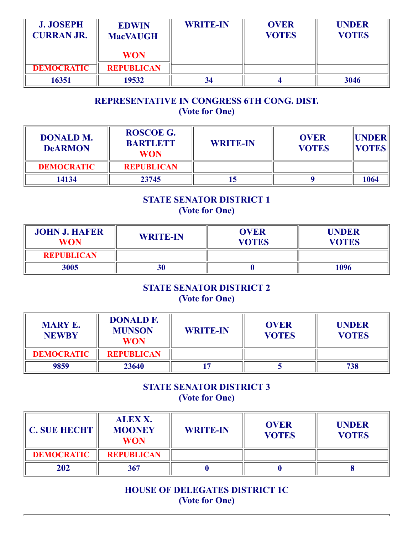| <b>J. JOSEPH</b><br><b>CURRAN JR.</b> | <b>EDWIN</b><br><b>MacVAUGH</b> | <b>WRITE-IN</b> | <b>OVER</b><br><b>VOTES</b> | <b>UNDER</b><br><b>VOTES</b> |
|---------------------------------------|---------------------------------|-----------------|-----------------------------|------------------------------|
|                                       | <b>WON</b>                      |                 |                             |                              |
| <b>DEMOCRATIC</b>                     | <b>REPUBLICAN</b>               |                 |                             |                              |
| 16351                                 | 19532                           | 34              |                             | 3046                         |

# REPRESENTATIVE IN CONGRESS 6TH CONG. DIST. (Vote for One)

| <b>DONALD M.</b><br><b>DeARMON</b> | <b>ROSCOE G.</b><br><b>BARTLETT</b><br><b>WON</b> | <b>WRITE-IN</b> | <b>OVER</b><br><b>VOTES</b> | <b>IIUNDERI</b><br><b>VOTES</b> |
|------------------------------------|---------------------------------------------------|-----------------|-----------------------------|---------------------------------|
| <b>DEMOCRATIC</b>                  | <b>REPUBLICAN</b>                                 |                 |                             |                                 |
| 14134                              | 23745                                             |                 |                             | 1064                            |

### STATE SENATOR DISTRICT 1 (Vote for One)

| <b>JOHN J. HAFER</b><br><b>WON</b> | <b>WRITE-IN</b> | <b>OVER</b><br><b>VOTES</b> | <b>UNDER</b><br><b>VOTES</b> |
|------------------------------------|-----------------|-----------------------------|------------------------------|
| <b>REPUBLICAN</b>                  |                 |                             |                              |
| 3005                               | 30              |                             | 1096                         |

# STATE SENATOR DISTRICT 2 (Vote for One)

| <b>MARY E.</b><br><b>NEWBY</b> | <b>DONALD F.</b><br><b>MUNSON</b><br><b>WON</b> | <b>WRITE-IN</b> | <b>OVER</b><br><b>VOTES</b> | <b>UNDER</b><br><b>VOTES</b> |
|--------------------------------|-------------------------------------------------|-----------------|-----------------------------|------------------------------|
| <b>DEMOCRATIC</b>              | <b>REPUBLICAN</b>                               |                 |                             |                              |
| 9859                           | 23640                                           |                 |                             | 738                          |

# STATE SENATOR DISTRICT 3 (Vote for One)

| <b>C. SUE HECHT</b> | <b>ALEXX.</b><br><b>MOONEY</b><br><b>WON</b> | <b>WRITE-IN</b> | <b>OVER</b><br><b>VOTES</b> | <b>UNDER</b><br><b>VOTES</b> |
|---------------------|----------------------------------------------|-----------------|-----------------------------|------------------------------|
| <b>DEMOCRATIC</b>   | <b>REPUBLICAN</b>                            |                 |                             |                              |
| 202                 | 367                                          |                 |                             |                              |

HOUSE OF DELEGATES DISTRICT 1C (Vote for One)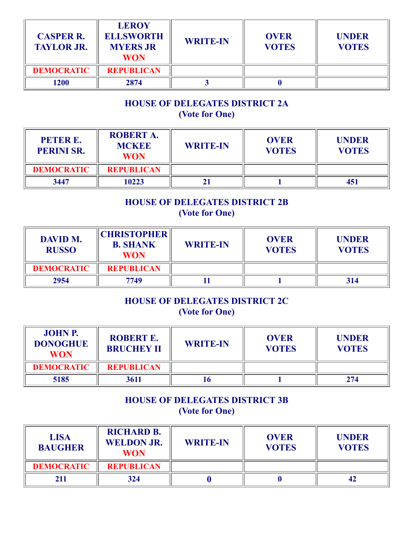| <b>CASPER R.</b><br><b>TAYLOR JR.</b> | <b>LEROY</b><br><b>ELLSWORTH</b><br><b>MYERS JR</b><br><b>WON</b> | <b>WRITE-IN</b> | <b>OVER</b><br><b>VOTES</b> | <b>UNDER</b><br><b>VOTES</b> |
|---------------------------------------|-------------------------------------------------------------------|-----------------|-----------------------------|------------------------------|
| <b>DEMOCRATIC</b>                     | <b>REPUBLICAN</b>                                                 |                 |                             |                              |
| 1200                                  | 2874                                                              |                 |                             |                              |

# HOUSE OF DELEGATES DISTRICT 2A (Vote for One)

| <b>PETER E.</b><br><b>PERINI SR.</b> | <b>ROBERT A.</b><br><b>MCKEE</b><br><b>WON</b> | <b>WRITE-IN</b> | <b>OVER</b><br><b>VOTES</b> | <b>UNDER</b><br><b>VOTES</b> |
|--------------------------------------|------------------------------------------------|-----------------|-----------------------------|------------------------------|
| <b>DEMOCRATIC</b>                    | <b>REPUBLICAN</b>                              |                 |                             |                              |
| 3447                                 | 10223                                          |                 |                             | 451                          |

# HOUSE OF DELEGATES DISTRICT 2B (Vote for One)

| <b>DAVID M.</b><br><b>RUSSO</b> | <b>CHRISTOPHER</b><br><b>B. SHANK</b><br><b>WON</b> | <b>WRITE-IN</b> | <b>OVER</b><br><b>VOTES</b> | <b>UNDER</b><br><b>VOTES</b> |
|---------------------------------|-----------------------------------------------------|-----------------|-----------------------------|------------------------------|
| <b>DEMOCRATIC</b>               | <b>REPUBLICAN</b>                                   |                 |                             |                              |
| 2954                            | 7749                                                |                 |                             | 314                          |

#### HOUSE OF DELEGATES DISTRICT 2C (Vote for One)

| <b>JOHN P.</b><br><b>DONOGHUE</b><br><b>WON</b> | <b>ROBERT E.</b><br><b>BRUCHEY II</b> | <b>WRITE-IN</b> | <b>OVER</b><br><b>VOTES</b> | <b>UNDER</b><br><b>VOTES</b> |
|-------------------------------------------------|---------------------------------------|-----------------|-----------------------------|------------------------------|
| <b>DEMOCRATIC</b>                               | <b>REPUBLICAN</b>                     |                 |                             |                              |
| 5185                                            | 3611                                  |                 |                             | 274                          |

# HOUSE OF DELEGATES DISTRICT 3B (Vote for One)

| <b>LISA</b><br><b>BAUGHER</b> | <b>RICHARD B.</b><br><b>WELDON JR.</b><br><b>WON</b> | <b>WRITE-IN</b> | <b>OVER</b><br><b>VOTES</b> | <b>UNDER</b><br><b>VOTES</b> |
|-------------------------------|------------------------------------------------------|-----------------|-----------------------------|------------------------------|
| <b>DEMOCRATIC</b>             | <b>REPUBLICAN</b>                                    |                 |                             |                              |
| 211                           | 324                                                  |                 |                             |                              |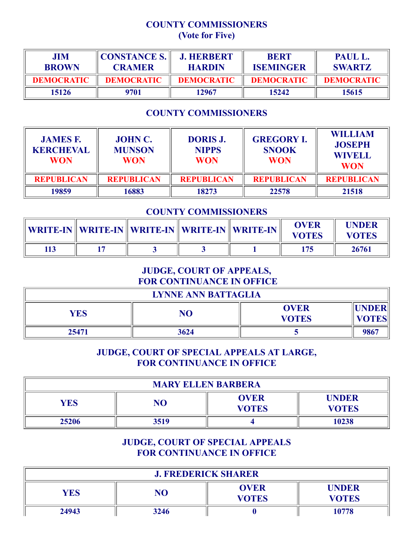#### COUNTY COMMISSIONERS (Vote for Five)

| <b>JIM</b><br><b>BROWN</b> | <b>CONSTANCE S.</b><br><b>CRAMER</b> | <b>J. HERBERT</b><br><b>HARDIN</b> | <b>BERT</b><br><b>ISEMINGER</b> | PAUL L.<br><b>SWARTZ</b> |
|----------------------------|--------------------------------------|------------------------------------|---------------------------------|--------------------------|
| <b>DEMOCRATIC</b>          | <b>DEMOCRATIC</b>                    | <b>DEMOCRATIC</b>                  | <b>DEMOCRATIC</b>               | <b>DEMOCRATIC</b>        |
| 15126                      | 9701                                 | 12967                              | 15242                           | 15615                    |

# COUNTY COMMISSIONERS

| <b>JAMES F.</b><br><b>KERCHEVAL</b><br><b>WON</b> | <b>JOHN C.</b><br><b>MUNSON</b><br><b>WON</b> | <b>DORIS J.</b><br><b>NIPPS</b><br><b>WON</b> | <b>GREGORY I.</b><br><b>SNOOK</b><br><b>WON</b> | <b>WILLIAM</b><br><b>JOSEPH</b><br><b>WIVELL</b><br><b>WON</b> |
|---------------------------------------------------|-----------------------------------------------|-----------------------------------------------|-------------------------------------------------|----------------------------------------------------------------|
| <b>REPUBLICAN</b>                                 | <b>REPUBLICAN</b>                             | <b>REPUBLICAN</b>                             | <b>REPUBLICAN</b>                               | <b>REPUBLICAN</b>                                              |
| 19859                                             | 16883                                         | 18273                                         | 22578                                           | 21518                                                          |

### COUNTY COMMISSIONERS

| WRITE-IN    WRITE-IN    WRITE-IN    WRITE-IN    WRITE-IN |  | <b>OVER</b><br><b>VOTES</b> | UNDER<br><b>VOTES</b> |
|----------------------------------------------------------|--|-----------------------------|-----------------------|
|                                                          |  | 175                         | 26761                 |

## JUDGE, COURT OF APPEALS, FOR CONTINUANCE IN OFFICE

| <b>LYNNE ANN BATTAGLIA</b> |      |                             |                               |  |
|----------------------------|------|-----------------------------|-------------------------------|--|
| <b>YES</b>                 | NO   | <b>OVER</b><br><b>VOTES</b> | <b>IUNDER</b><br><b>VOTES</b> |  |
| 25471                      | 3624 |                             | 9867                          |  |

#### JUDGE, COURT OF SPECIAL APPEALS AT LARGE, FOR CONTINUANCE IN OFFICE

| <b>MARY ELLEN BARBERA</b> |      |                             |                              |  |
|---------------------------|------|-----------------------------|------------------------------|--|
| <b>YES</b>                | NO   | <b>OVER</b><br><b>VOTES</b> | <b>UNDER</b><br><b>VOTES</b> |  |
| 25206                     | 3519 |                             | 10238                        |  |

### JUDGE, COURT OF SPECIAL APPEALS FOR CONTINUANCE IN OFFICE

| <b>J. FREDERICK SHARER</b> |      |                             |                              |  |
|----------------------------|------|-----------------------------|------------------------------|--|
| <b>YES</b>                 | NO   | <b>OVER</b><br><b>VOTES</b> | <b>UNDER</b><br><b>VOTES</b> |  |
| 24943                      | 3246 |                             | 10778                        |  |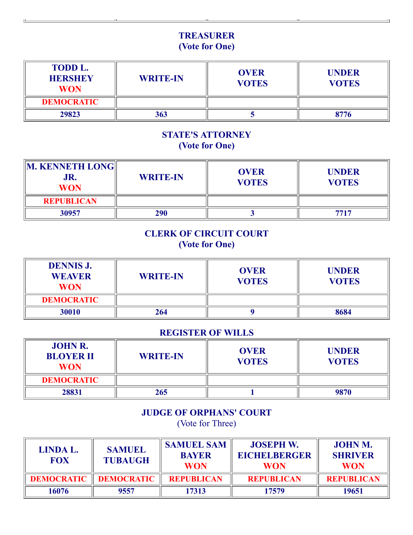# TREASURER (Vote for One)

| <b>TODD L.</b><br><b>HERSHEY</b><br><b>WON</b> | <b>WRITE-IN</b> | <b>OVER</b><br><b>VOTES</b> | <b>UNDER</b><br><b>VOTES</b> |
|------------------------------------------------|-----------------|-----------------------------|------------------------------|
| <b>DEMOCRATIC</b>                              |                 |                             |                              |
| 29823                                          | 363             |                             | 8776                         |

### STATE'S ATTORNEY (Vote for One)

| <b>M. KENNETH LONG</b><br>JR.<br><b>WON</b> | <b>WRITE-IN</b> | <b>OVER</b><br><b>VOTES</b> | <b>UNDER</b><br><b>VOTES</b> |
|---------------------------------------------|-----------------|-----------------------------|------------------------------|
| <b>REPUBLICAN</b>                           |                 |                             |                              |
| 30957                                       | 290             |                             | 7717                         |

# CLERK OF CIRCUIT COURT (Vote for One)

| <b>DENNIS J.</b><br><b>WEAVER</b><br><b>WON</b> | <b>WRITE-IN</b> | <b>OVER</b><br><b>VOTES</b> | <b>UNDER</b><br><b>VOTES</b> |
|-------------------------------------------------|-----------------|-----------------------------|------------------------------|
| <b>DEMOCRATIC</b>                               |                 |                             |                              |
| 30010                                           | 264             |                             | 8684                         |

#### REGISTER OF WILLS

| <b>JOHN R.</b><br><b>BLOYER II</b><br><b>WON</b> | <b>WRITE-IN</b> | <b>OVER</b><br><b>VOTES</b> | <b>UNDER</b><br><b>VOTES</b> |
|--------------------------------------------------|-----------------|-----------------------------|------------------------------|
| <b>DEMOCRATIC</b>                                |                 |                             |                              |
| 28831                                            | 265             |                             | 9870                         |

# JUDGE OF ORPHANS' COURT

(Vote for Three)

| LINDA L.<br><b>FOX</b> | <b>SAMUEL</b><br><b>TUBAUGH</b> | <b>SAMUEL SAM</b><br><b>BAYER</b><br><b>WON</b> | <b>JOSEPH W.</b><br><b>EICHELBERGER</b><br><b>WON</b> | <b>JOHN M.</b><br><b>SHRIVER</b><br><b>WON</b> |
|------------------------|---------------------------------|-------------------------------------------------|-------------------------------------------------------|------------------------------------------------|
| <b>DEMOCRATIC</b>      | <b>DEMOCRATIC</b>               | <b>REPUBLICAN</b>                               | <b>REPUBLICAN</b>                                     | <b>REPUBLICAN</b>                              |
| 16076                  | 9557                            | 17313                                           | 17579                                                 | 19651                                          |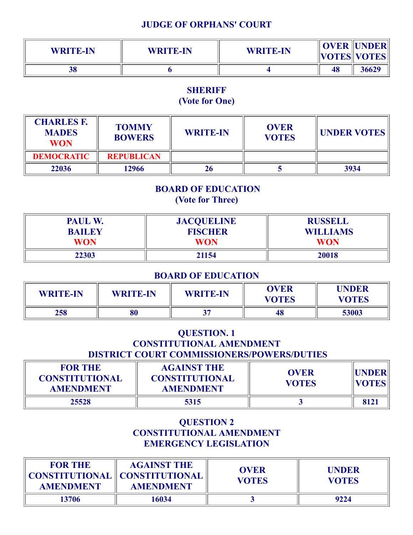#### JUDGE OF ORPHANS' COURT

| <b>WRITE-IN</b> | <b>WRITE-IN</b> | <b>WRITE-IN</b> |    | <b>OVER UNDER</b><br>$\ VOTES\ VOTES\ $ |
|-----------------|-----------------|-----------------|----|-----------------------------------------|
| 38              |                 |                 | 48 | 36629                                   |

# **SHERIFF**

# (Vote for One)

| <b>CHARLES F.</b><br><b>MADES</b><br><b>WON</b> | <b>TOMMY</b><br><b>BOWERS</b> | <b>WRITE-IN</b> | <b>OVER</b><br><b>VOTES</b> | <b>UNDER VOTES</b> |
|-------------------------------------------------|-------------------------------|-----------------|-----------------------------|--------------------|
| <b>DEMOCRATIC</b>                               | <b>REPUBLICAN</b>             |                 |                             |                    |
| 22036                                           | 12966                         |                 |                             | 3934               |

# BOARD OF EDUCATION (Vote for Three)

| PAUL W.<br><b>BAILEY</b> | <b>JACQUELINE</b><br><b>FISCHER</b> | <b>RUSSELL</b><br><b>WILLIAMS</b> |  |
|--------------------------|-------------------------------------|-----------------------------------|--|
| <b>WON</b>               | <b>WON</b>                          | <b>WON</b>                        |  |
| 22303                    | 21154                               | 20018                             |  |

#### BOARD OF EDUCATION

| <b>WRITE-IN</b> | <b>WRITE-IN</b> | <b>WRITE-IN</b> | <b>OVER</b><br><b>VOTES</b> | <b>UNDER</b><br><b>VOTES</b> |
|-----------------|-----------------|-----------------|-----------------------------|------------------------------|
| 258             | 80              |                 | 48                          | 53003                        |

# QUESTION. 1 CONSTITUTIONAL AMENDMENT DISTRICT COURT COMMISSIONERS/POWERS/DUTIES

| <b>FOR THE</b><br><b>CONSTITUTIONAL</b><br><b>AMENDMENT</b> | <b>AGAINST THE</b><br><b>CONSTITUTIONAL</b><br><b>AMENDMENT</b> | <b>OVER</b><br><b>VOTES</b> | <b>  UNDER  </b><br> VOTES |
|-------------------------------------------------------------|-----------------------------------------------------------------|-----------------------------|----------------------------|
| 25528                                                       | 5315                                                            |                             | 8121                       |

#### QUESTION 2 CONSTITUTIONAL AMENDMENT EMERGENCY LEGISLATION

| <b>FOR THE</b><br>CONSTITUTIONAL CONSTITUTIONAL<br><b>AMENDMENT</b> | <b>AGAINST THE</b><br><b>AMENDMENT</b> | <b>OVER</b><br><b>VOTES</b> | <b>UNDER</b><br><b>VOTES</b> |
|---------------------------------------------------------------------|----------------------------------------|-----------------------------|------------------------------|
| 13706                                                               | 16034                                  |                             | 9224                         |